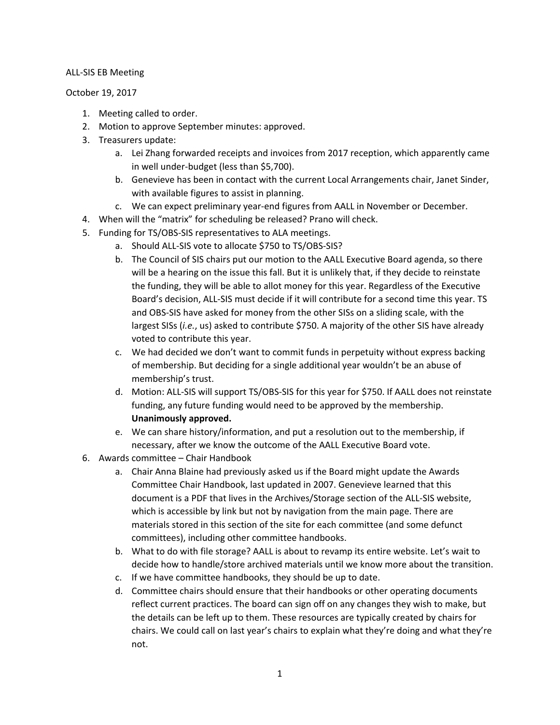## ALL-SIS EB Meeting

October 19, 2017

- 1. Meeting called to order.
- 2. Motion to approve September minutes: approved.
- 3. Treasurers update:
	- a. Lei Zhang forwarded receipts and invoices from 2017 reception, which apparently came in well under-budget (less than \$5,700).
	- b. Genevieve has been in contact with the current Local Arrangements chair, Janet Sinder, with available figures to assist in planning.
	- c. We can expect preliminary year-end figures from AALL in November or December.
- 4. When will the "matrix" for scheduling be released? Prano will check.
- 5. Funding for TS/OBS-SIS representatives to ALA meetings.
	- a. Should ALL-SIS vote to allocate \$750 to TS/OBS-SIS?
	- b. The Council of SIS chairs put our motion to the AALL Executive Board agenda, so there will be a hearing on the issue this fall. But it is unlikely that, if they decide to reinstate the funding, they will be able to allot money for this year. Regardless of the Executive Board's decision, ALL-SIS must decide if it will contribute for a second time this year. TS and OBS-SIS have asked for money from the other SISs on a sliding scale, with the largest SISs (*i.e.*, us) asked to contribute \$750. A majority of the other SIS have already voted to contribute this year.
	- c. We had decided we don't want to commit funds in perpetuity without express backing of membership. But deciding for a single additional year wouldn't be an abuse of membership's trust.
	- d. Motion: ALL-SIS will support TS/OBS-SIS for this year for \$750. If AALL does not reinstate funding, any future funding would need to be approved by the membership. **Unanimously approved.**
	- e. We can share history/information, and put a resolution out to the membership, if necessary, after we know the outcome of the AALL Executive Board vote.
- 6. Awards committee Chair Handbook
	- a. Chair Anna Blaine had previously asked us if the Board might update the Awards Committee Chair Handbook, last updated in 2007. Genevieve learned that this document is a PDF that lives in the Archives/Storage section of the ALL-SIS website, which is accessible by link but not by navigation from the main page. There are materials stored in this section of the site for each committee (and some defunct committees), including other committee handbooks.
	- b. What to do with file storage? AALL is about to revamp its entire website. Let's wait to decide how to handle/store archived materials until we know more about the transition.
	- c. If we have committee handbooks, they should be up to date.
	- d. Committee chairs should ensure that their handbooks or other operating documents reflect current practices. The board can sign off on any changes they wish to make, but the details can be left up to them. These resources are typically created by chairs for chairs. We could call on last year's chairs to explain what they're doing and what they're not.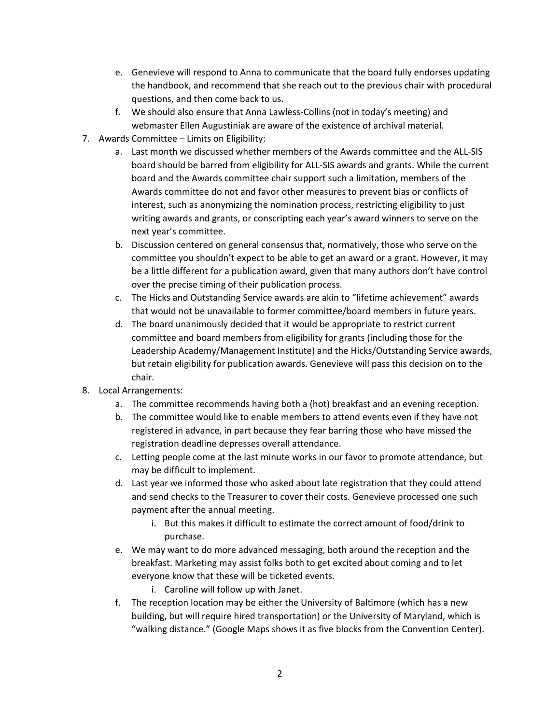- e. Genevieve will respond to Anna to communicate that the board fully endorses updating the handbook, and recommend that she reach out to the previous chair with procedural questions, and then come back to us.
- f. We should also ensure that Anna Lawless-Collins (not in today's meeting) and webmaster Ellen Augustiniak are aware of the existence of archival material.
- 7. Awards Committee Limits on Eligibility:
	- a. Last month we discussed whether members of the Awards committee and the ALL-SIS board should be barred from eligibility for ALL-SIS awards and grants. While the current board and the Awards committee chair support such a limitation, members of the Awards committee do not and favor other measures to prevent bias or conflicts of interest, such as anonymizing the nomination process, restricting eligibility to just writing awards and grants, or conscripting each year's award winners to serve on the next year's committee.
	- b. Discussion centered on general consensus that, normatively, those who serve on the committee you shouldn't expect to be able to get an award or a grant. However, it may be a little different for a publication award, given that many authors don't have control over the precise timing of their publication process.
	- c. The Hicks and Outstanding Service awards are akin to "lifetime achievement" awards that would not be unavailable to former committee/board members in future years.
	- d. The board unanimously decided that it would be appropriate to restrict current committee and board members from eligibility for grants (including those for the Leadership Academy/Management Institute) and the Hicks/Outstanding Service awards, but retain eligibility for publication awards. Genevieve will pass this decision on to the chair.
- 8. Local Arrangements:
	- a. The committee recommends having both a (hot) breakfast and an evening reception.
	- b. The committee would like to enable members to attend events even if they have not registered in advance, in part because they fear barring those who have missed the registration deadline depresses overall attendance.
	- c. Letting people come at the last minute works in our favor to promote attendance, but may be difficult to implement.
	- d. Last year we informed those who asked about late registration that they could attend and send checks to the Treasurer to cover their costs. Genevieve processed one such payment after the annual meeting.
		- i. But this makes it difficult to estimate the correct amount of food/drink to purchase.
	- e. We may want to do more advanced messaging, both around the reception and the breakfast. Marketing may assist folks both to get excited about coming and to let everyone know that these will be ticketed events.
		- i. Caroline will follow up with Janet.
	- f. The reception location may be either the University of Baltimore (which has a new building, but will require hired transportation) or the University of Maryland, which is "walking distance." (Google Maps shows it as five blocks from the Convention Center).